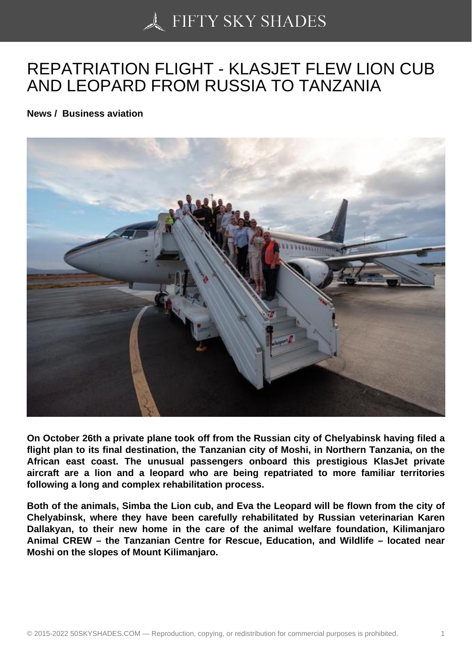## [REPATRIATION FLIGH](https://50skyshades.com)T - KLASJET FLEW LION CUB AND LEOPARD FROM RUSSIA TO TANZANIA

News / Business aviation

On October 26th a private plane took off from the Russian city of Chelyabinsk having filed a flight plan to its final destination, the Tanzanian city of Moshi, in Northern Tanzania, on the African east coast. The unusual passengers onboard this prestigious KlasJet private aircraft are a lion and a leopard who are being repatriated to more familiar territories following a long and complex rehabilitation process.

Both of the animals, Simba the Lion cub, and Eva the Leopard will be flown from the city of Chelyabinsk, where they have been carefully rehabilitated by Russian veterinarian Karen Dallakyan, to their new home in the care of the animal welfare foundation, Kilimanjaro Animal CREW – the Tanzanian Centre for Rescue, Education, and Wildlife – located near Moshi on the slopes of Mount Kilimanjaro.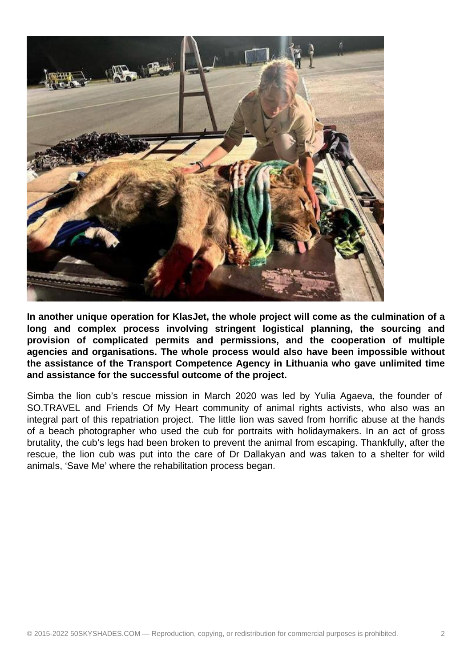

**In another unique operation for KlasJet, the whole project will come as the culmination of a long and complex process involving stringent logistical planning, the sourcing and provision of complicated permits and permissions, and the cooperation of multiple agencies and organisations. The whole process would also have been impossible without the assistance of the Transport Competence Agency in Lithuania who gave unlimited time and assistance for the successful outcome of the project.**

Simba the lion cub's rescue mission in March 2020 was led by Yulia Agaeva, the founder of SO.TRAVEL and Friends Of My Heart community of animal rights activists, who also was an integral part of this repatriation project. The little lion was saved from horrific abuse at the hands of a beach photographer who used the cub for portraits with holidaymakers. In an act of gross brutality, the cub's legs had been broken to prevent the animal from escaping. Thankfully, after the rescue, the lion cub was put into the care of Dr Dallakyan and was taken to a shelter for wild animals, 'Save Me' where the rehabilitation process began.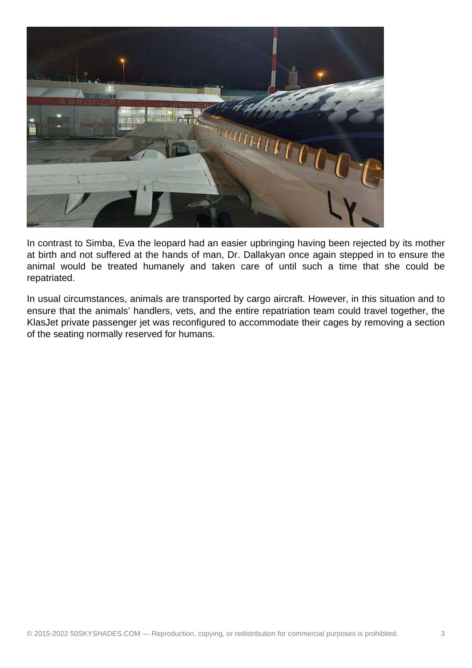

In contrast to Simba, Eva the leopard had an easier upbringing having been rejected by its mother at birth and not suffered at the hands of man, Dr. Dallakyan once again stepped in to ensure the animal would be treated humanely and taken care of until such a time that she could be repatriated.

In usual circumstances, animals are transported by cargo aircraft. However, in this situation and to ensure that the animals' handlers, vets, and the entire repatriation team could travel together, the KlasJet private passenger jet was reconfigured to accommodate their cages by removing a section of the seating normally reserved for humans.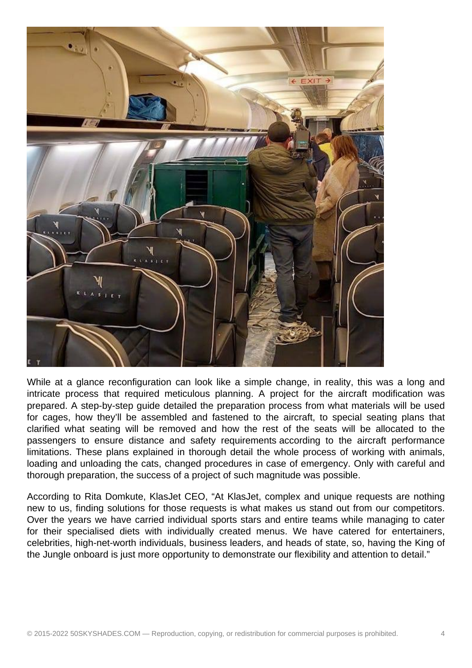

While at a glance reconfiguration can look like a simple change, in reality, this was a long and intricate process that required meticulous planning. A project for the aircraft modification was prepared. A step-by-step guide detailed the preparation process from what materials will be used for cages, how they'll be assembled and fastened to the aircraft, to special seating plans that clarified what seating will be removed and how the rest of the seats will be allocated to the passengers to ensure distance and safety requirements according to the aircraft performance limitations. These plans explained in thorough detail the whole process of working with animals, loading and unloading the cats, changed procedures in case of emergency. Only with careful and thorough preparation, the success of a project of such magnitude was possible.

According to Rita Domkute, KlasJet CEO, "At KlasJet, complex and unique requests are nothing new to us, finding solutions for those requests is what makes us stand out from our competitors. Over the years we have carried individual sports stars and entire teams while managing to cater for their specialised diets with individually created menus. We have catered for entertainers, celebrities, high-net-worth individuals, business leaders, and heads of state, so, having the King of the Jungle onboard is just more opportunity to demonstrate our flexibility and attention to detail."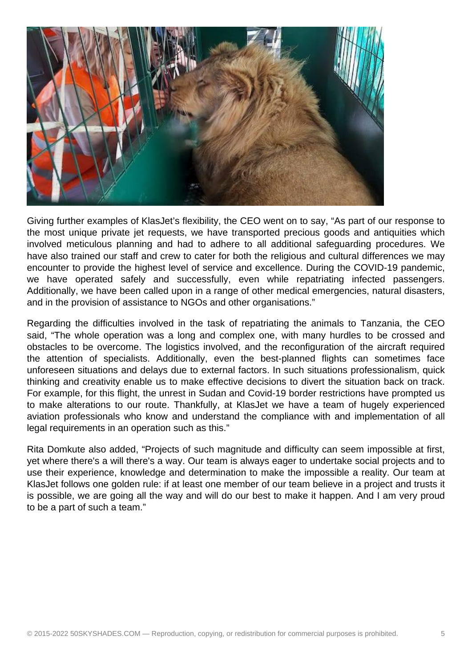

Giving further examples of KlasJet's flexibility, the CEO went on to say, "As part of our response to the most unique private jet requests, we have transported precious goods and antiquities which involved meticulous planning and had to adhere to all additional safeguarding procedures. We have also trained our staff and crew to cater for both the religious and cultural differences we may encounter to provide the highest level of service and excellence. During the COVID-19 pandemic, we have operated safely and successfully, even while repatriating infected passengers. Additionally, we have been called upon in a range of other medical emergencies, natural disasters, and in the provision of assistance to NGOs and other organisations."

Regarding the difficulties involved in the task of repatriating the animals to Tanzania, the CEO said, "The whole operation was a long and complex one, with many hurdles to be crossed and obstacles to be overcome. The logistics involved, and the reconfiguration of the aircraft required the attention of specialists. Additionally, even the best-planned flights can sometimes face unforeseen situations and delays due to external factors. In such situations professionalism, quick thinking and creativity enable us to make effective decisions to divert the situation back on track. For example, for this flight, the unrest in Sudan and Covid-19 border restrictions have prompted us to make alterations to our route. Thankfully, at KlasJet we have a team of hugely experienced aviation professionals who know and understand the compliance with and implementation of all legal requirements in an operation such as this."

Rita Domkute also added, "Projects of such magnitude and difficulty can seem impossible at first, yet where there's a will there's a way. Our team is always eager to undertake social projects and to use their experience, knowledge and determination to make the impossible a reality. Our team at KlasJet follows one golden rule: if at least one member of our team believe in a project and trusts it is possible, we are going all the way and will do our best to make it happen. And I am very proud to be a part of such a team."